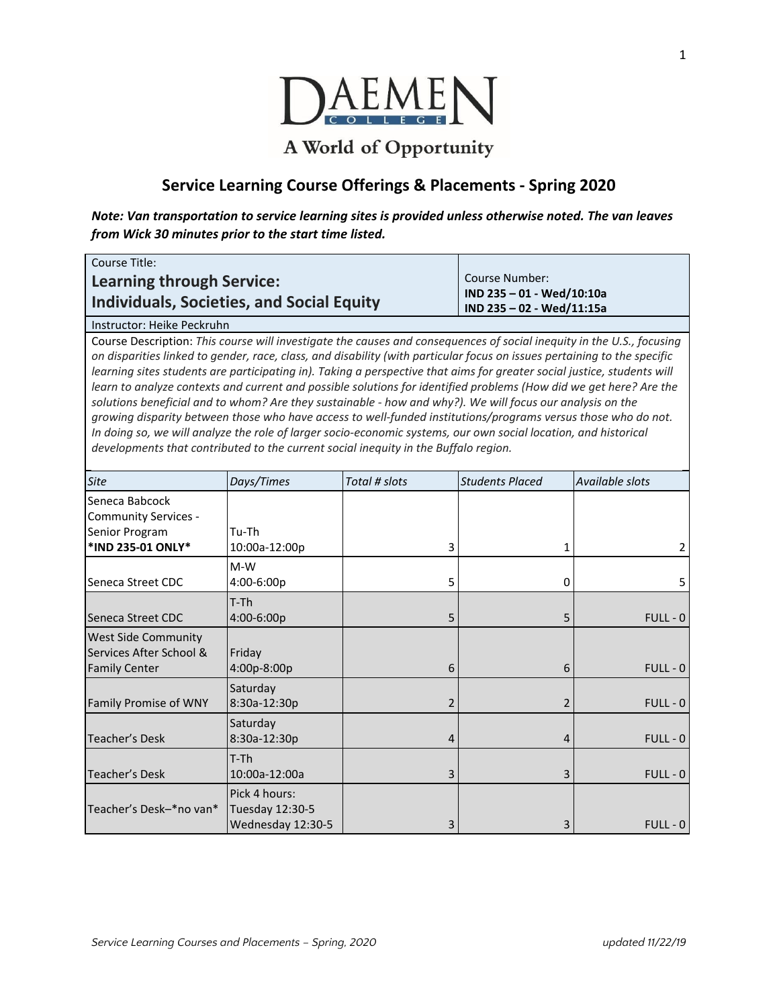

## A World of Opportunity

## **Service Learning Course Offerings & Placements - Spring 2020**

*Note: Van transportation to service learning sites is provided unless otherwise noted. The van leaves from Wick 30 minutes prior to the start time listed.*

| Course Title:                                                                 |                                                                          |
|-------------------------------------------------------------------------------|--------------------------------------------------------------------------|
| Learning through Service:<br><b>Individuals, Societies, and Social Equity</b> | Course Number:<br>IND 235 - 01 - Wed/10:10a<br>IND 235 - 02 - Wed/11:15a |
| .                                                                             |                                                                          |

Instructor: Heike Peckruhn

Course Description: *This course will investigate the causes and consequences of social inequity in the U.S., focusing* on disparities linked to gender, race, class, and disability (with particular focus on issues pertaining to the specific learning sites students are participating in). Taking a perspective that aims for greater social justice, students will learn to analyze contexts and current and possible solutions for identified problems (How did we get here? Are the solutions beneficial and to whom? Are they sustainable - how and why?). We will focus our analysis on the *growing disparity between those who have access to well-funded institutions/programs versus those who do not.* In doing so, we will analyze the role of larger socio-economic systems, our own social location, and historical *developments that contributed to the current social inequity in the Buffalo region.*

| <b>Site</b>                                                                   | Days/Times                                            | Total # slots  | <b>Students Placed</b>   | Available slots |
|-------------------------------------------------------------------------------|-------------------------------------------------------|----------------|--------------------------|-----------------|
| Seneca Babcock<br><b>Community Services -</b><br>Senior Program               | Tu-Th                                                 |                |                          |                 |
| *IND 235-01 ONLY*                                                             | 10:00a-12:00p                                         | 3              | 1                        | 2               |
| Seneca Street CDC                                                             | $M-W$<br>4:00-6:00p                                   | 5              | 0                        | 5               |
| Seneca Street CDC                                                             | T-Th<br>4:00-6:00p                                    | 5              | 5                        | $FULL - 0$      |
| <b>West Side Community</b><br>Services After School &<br><b>Family Center</b> | Friday<br>4:00p-8:00p                                 | 6              | 6                        | $FULL - 0$      |
| Family Promise of WNY                                                         | Saturday<br>8:30a-12:30p                              | 2              | $\overline{\mathcal{L}}$ | $FULL - 0$      |
| Teacher's Desk                                                                | Saturday<br>8:30a-12:30p                              | $\overline{4}$ | 4                        | $FULL - 0$      |
| Teacher's Desk                                                                | $T-Th$<br>10:00a-12:00a                               | 3              | 3                        | $FULL - 0$      |
| Teacher's Desk-*no van*                                                       | Pick 4 hours:<br>Tuesday 12:30-5<br>Wednesday 12:30-5 | 3              | 3                        | $FULL - 0$      |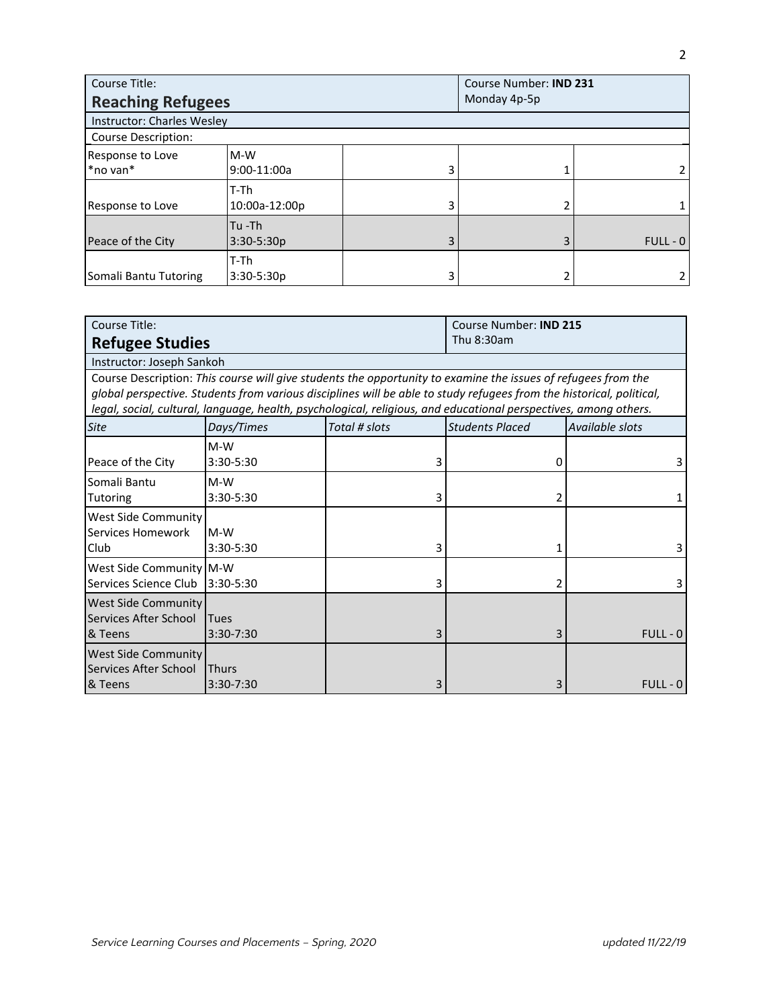| Course Title:                     |                          | Course Number: IND 231 |  |            |
|-----------------------------------|--------------------------|------------------------|--|------------|
| <b>Reaching Refugees</b>          |                          | Monday 4p-5p           |  |            |
| <b>Instructor: Charles Wesley</b> |                          |                        |  |            |
| <b>Course Description:</b>        |                          |                        |  |            |
| Response to Love<br>*no van*      | $M-W$<br>9:00-11:00a     | 3                      |  |            |
| Response to Love                  | T-Th<br>10:00a-12:00p    | 3                      |  |            |
| Peace of the City                 | $Tu -Th$<br>$3:30-5:30p$ | 3                      |  | $FULL - 0$ |
| Somali Bantu Tutoring             | T-Th<br>3:30-5:30p       | 3                      |  |            |

| Course Title:              |                                                                                                                      | Course Number: <b>IND 215</b> |                        |                 |
|----------------------------|----------------------------------------------------------------------------------------------------------------------|-------------------------------|------------------------|-----------------|
| <b>Refugee Studies</b>     |                                                                                                                      |                               | Thu 8:30am             |                 |
| Instructor: Joseph Sankoh  |                                                                                                                      |                               |                        |                 |
|                            | Course Description: This course will give students the opportunity to examine the issues of refugees from the        |                               |                        |                 |
|                            | global perspective. Students from various disciplines will be able to study refugees from the historical, political, |                               |                        |                 |
|                            | legal, social, cultural, language, health, psychological, religious, and educational perspectives, among others.     |                               |                        |                 |
| <b>Site</b>                | Days/Times                                                                                                           | Total # slots                 | <b>Students Placed</b> | Available slots |
|                            | $M-W$                                                                                                                |                               |                        |                 |
| Peace of the City          | 3:30-5:30                                                                                                            | 3                             | 0                      |                 |
| lSomali Bantu              | $M-W$                                                                                                                |                               |                        |                 |
| Tutoring                   | 3:30-5:30                                                                                                            | 3                             |                        |                 |
| <b>West Side Community</b> |                                                                                                                      |                               |                        |                 |
| Services Homework          | $M-W$                                                                                                                |                               |                        |                 |
| Club                       | 3:30-5:30                                                                                                            | 3                             |                        |                 |
| West Side Community M-W    |                                                                                                                      |                               |                        |                 |
| Services Science Club      | 3:30-5:30                                                                                                            | 3                             |                        |                 |
| <b>West Side Community</b> |                                                                                                                      |                               |                        |                 |
| Services After School      | <b>Tues</b>                                                                                                          |                               |                        |                 |
| & Teens                    | 3:30-7:30                                                                                                            | 3                             |                        | $FULL - 0$      |
| <b>West Side Community</b> |                                                                                                                      |                               |                        |                 |
| Services After School      | <b>Thurs</b>                                                                                                         |                               |                        |                 |
| & Teens                    | 3:30-7:30                                                                                                            | 3                             | 3                      | $FULL - 0$      |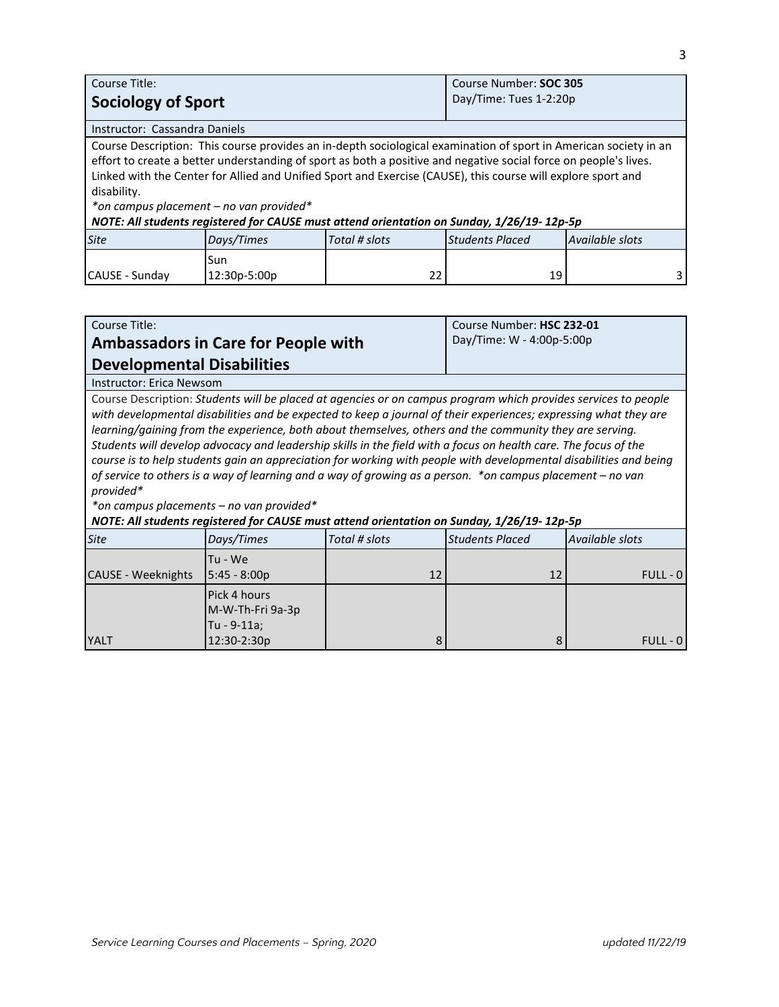| Course Title:                                                                                                                                                                                                                                                                                                                                                                                                                                                                                               |                     |               | Course Number: SOC 305 |                 |
|-------------------------------------------------------------------------------------------------------------------------------------------------------------------------------------------------------------------------------------------------------------------------------------------------------------------------------------------------------------------------------------------------------------------------------------------------------------------------------------------------------------|---------------------|---------------|------------------------|-----------------|
| <b>Sociology of Sport</b>                                                                                                                                                                                                                                                                                                                                                                                                                                                                                   |                     |               | Day/Time: Tues 1-2:20p |                 |
| Instructor: Cassandra Daniels                                                                                                                                                                                                                                                                                                                                                                                                                                                                               |                     |               |                        |                 |
| Course Description: This course provides an in-depth sociological examination of sport in American society in an<br>effort to create a better understanding of sport as both a positive and negative social force on people's lives.<br>Linked with the Center for Allied and Unified Sport and Exercise (CAUSE), this course will explore sport and<br>disability.<br>*on campus placement - no van provided*<br>NOTE: All students registered for CAUSE must attend orientation on Sunday, 1/26/19-12p-5p |                     |               |                        |                 |
| <b>Site</b>                                                                                                                                                                                                                                                                                                                                                                                                                                                                                                 | Days/Times          | Total # slots | <b>Students Placed</b> | Available slots |
| CAUSE - Sunday                                                                                                                                                                                                                                                                                                                                                                                                                                                                                              | Sun<br>12:30p-5:00p | 22            | 19                     | 3.              |

| Course Title:                                                                                                                                                                                                                                                                                                                                                                                                                                                                                                                                                                                                                                                                                                                                                                                                                                            |                                                                |               | Course Number: HSC 232-01 |                 |
|----------------------------------------------------------------------------------------------------------------------------------------------------------------------------------------------------------------------------------------------------------------------------------------------------------------------------------------------------------------------------------------------------------------------------------------------------------------------------------------------------------------------------------------------------------------------------------------------------------------------------------------------------------------------------------------------------------------------------------------------------------------------------------------------------------------------------------------------------------|----------------------------------------------------------------|---------------|---------------------------|-----------------|
|                                                                                                                                                                                                                                                                                                                                                                                                                                                                                                                                                                                                                                                                                                                                                                                                                                                          | <b>Ambassadors in Care for People with</b>                     |               | Day/Time: W - 4:00p-5:00p |                 |
| <b>Developmental Disabilities</b>                                                                                                                                                                                                                                                                                                                                                                                                                                                                                                                                                                                                                                                                                                                                                                                                                        |                                                                |               |                           |                 |
| <b>Instructor: Erica Newsom</b>                                                                                                                                                                                                                                                                                                                                                                                                                                                                                                                                                                                                                                                                                                                                                                                                                          |                                                                |               |                           |                 |
| Course Description: Students will be placed at agencies or on campus program which provides services to people<br>with developmental disabilities and be expected to keep a journal of their experiences; expressing what they are<br>learning/gaining from the experience, both about themselves, others and the community they are serving.<br>Students will develop advocacy and leadership skills in the field with a focus on health care. The focus of the<br>course is to help students gain an appreciation for working with people with developmental disabilities and being<br>of service to others is a way of learning and a way of growing as a person. *on campus placement – no van<br>provided*<br>*on campus placements - no van provided*<br>NOTE: All students registered for CAUSE must attend orientation on Sunday, 1/26/19-12p-5p |                                                                |               |                           |                 |
| <b>Site</b>                                                                                                                                                                                                                                                                                                                                                                                                                                                                                                                                                                                                                                                                                                                                                                                                                                              | Days/Times                                                     | Total # slots | <b>Students Placed</b>    | Available slots |
| <b>CAUSE - Weeknights</b>                                                                                                                                                                                                                                                                                                                                                                                                                                                                                                                                                                                                                                                                                                                                                                                                                                | Tu - We<br>5:45 - 8:00p                                        | 12            | 12                        | $FULL - 0$      |
| <b>YALT</b>                                                                                                                                                                                                                                                                                                                                                                                                                                                                                                                                                                                                                                                                                                                                                                                                                                              | Pick 4 hours<br>M-W-Th-Fri 9a-3p<br>Tu - 9-11a;<br>12:30-2:30p | 8             | 8                         | $FULL - 0$      |